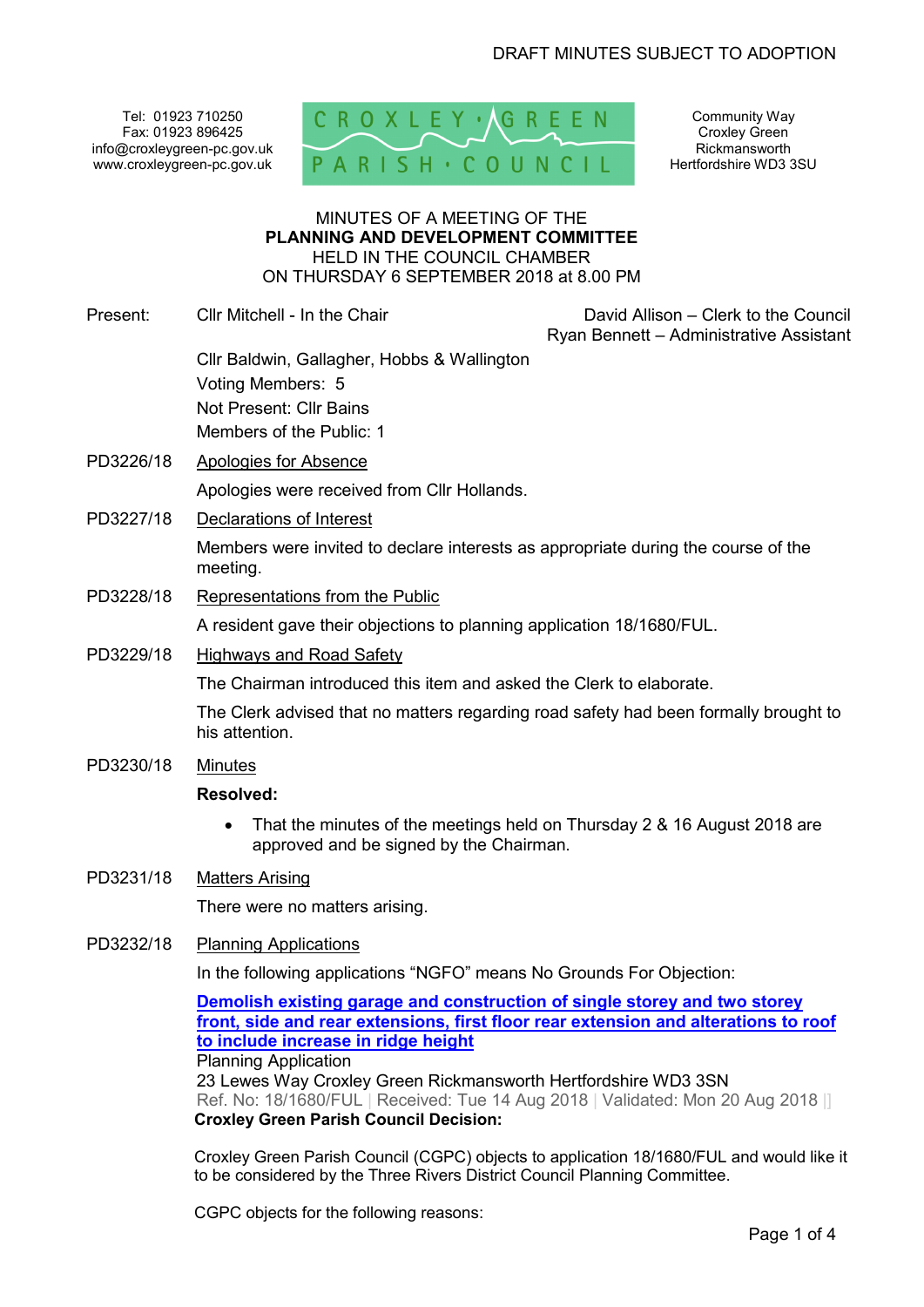Tel: 01923 710250 Fax: 01923 896425 info@croxleygreen-pc.gov.uk www.croxleygreen-pc.gov.uk



Community Way Croxley Green Rickmansworth Hertfordshire WD3 3SU

#### MINUTES OF A MEETING OF THE **PLANNING AND DEVELOPMENT COMMITTEE** HELD IN THE COUNCIL CHAMBER ON THURSDAY 6 SEPTEMBER 2018 at 8.00 PM

|           | ON THUNGDAT 0 GEF TEMBEN 2010 AL0.00 FM                                                                |                                                                                 |  |
|-----------|--------------------------------------------------------------------------------------------------------|---------------------------------------------------------------------------------|--|
| Present:  | Cllr Mitchell - In the Chair                                                                           | David Allison - Clerk to the Council<br>Ryan Bennett - Administrative Assistant |  |
|           | Cllr Baldwin, Gallagher, Hobbs & Wallington<br>Voting Members: 5                                       |                                                                                 |  |
|           | Not Present: Cllr Bains<br>Members of the Public: 1                                                    |                                                                                 |  |
| PD3226/18 | Apologies for Absence                                                                                  |                                                                                 |  |
|           | Apologies were received from Cllr Hollands.                                                            |                                                                                 |  |
| PD3227/18 | Declarations of Interest                                                                               |                                                                                 |  |
|           | Members were invited to declare interests as appropriate during the course of the<br>meeting.          |                                                                                 |  |
| PD3228/18 | Representations from the Public                                                                        |                                                                                 |  |
|           | A resident gave their objections to planning application 18/1680/FUL.                                  |                                                                                 |  |
| PD3229/18 | <b>Highways and Road Safety</b>                                                                        |                                                                                 |  |
|           | The Chairman introduced this item and asked the Clerk to elaborate.                                    |                                                                                 |  |
|           | The Clerk advised that no matters regarding road safety had been formally brought to<br>his attention. |                                                                                 |  |
| PD3230/18 | <b>Minutes</b>                                                                                         |                                                                                 |  |
|           | <b>Resolved:</b>                                                                                       |                                                                                 |  |
|           | $\bullet$<br>approved and be signed by the Chairman.                                                   | That the minutes of the meetings held on Thursday 2 & 16 August 2018 are        |  |
| PD3231/18 | <b>Matters Arising</b>                                                                                 |                                                                                 |  |
|           | There were no matters arising.                                                                         |                                                                                 |  |
| PD3232/18 | <b>Planning Applications</b>                                                                           |                                                                                 |  |
|           | In the following applications "NGFO" means No Grounds For Objection:                                   |                                                                                 |  |

**Demolish existing garage and construction of single storey and two storey front, side and rear extensions, first floor rear extension and alterations to roof to include increase in ridge height** Planning Application

23 Lewes Way Croxley Green Rickmansworth Hertfordshire WD3 3SN Ref. No: 18/1680/FUL | Received: Tue 14 Aug 2018 | Validated: Mon 20 Aug 2018 |] **Croxley Green Parish Council Decision:** 

Croxley Green Parish Council (CGPC) objects to application 18/1680/FUL and would like it to be considered by the Three Rivers District Council Planning Committee.

CGPC objects for the following reasons: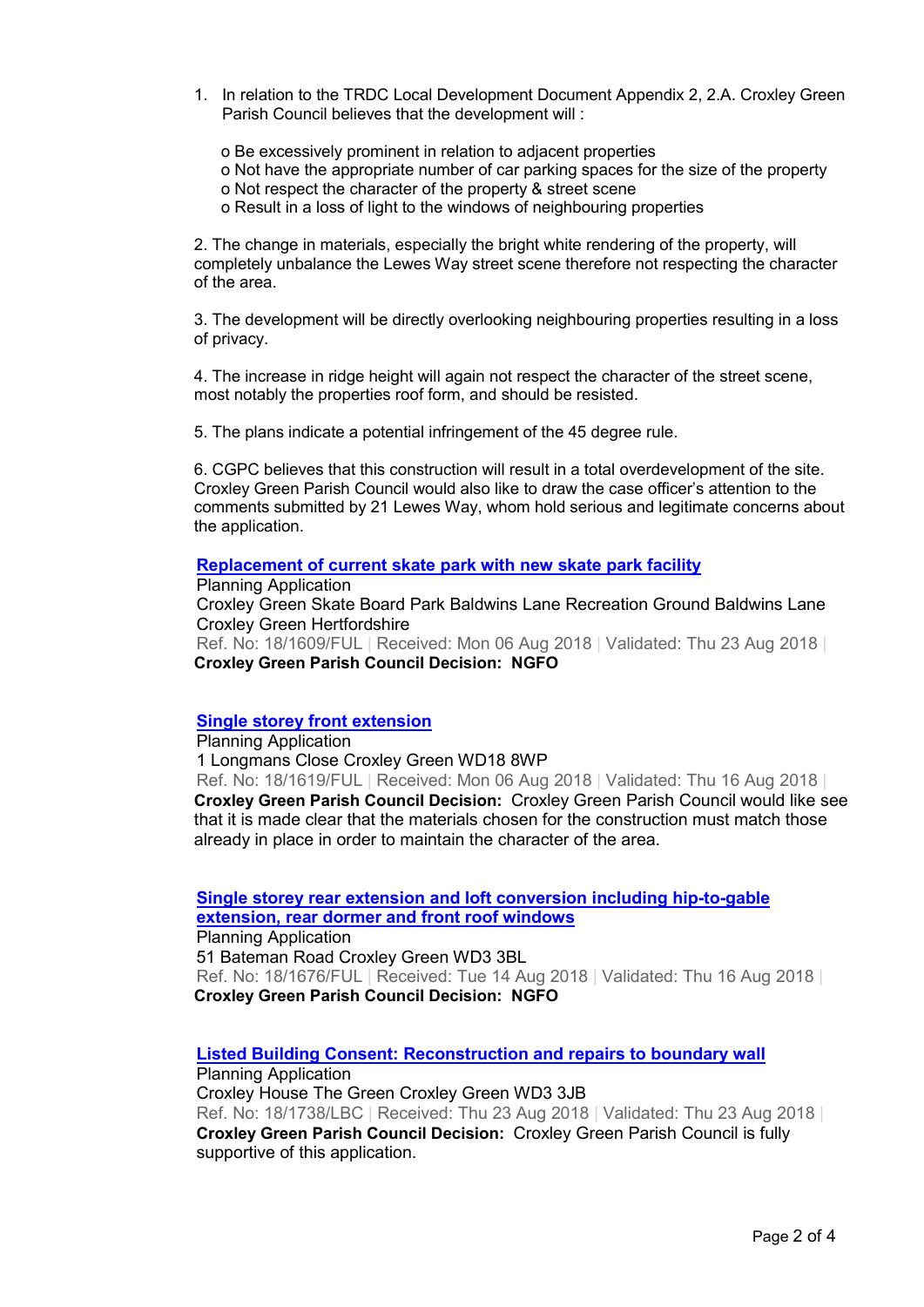- 1. In relation to the TRDC Local Development Document Appendix 2, 2.A. Croxley Green Parish Council believes that the development will :
	- o Be excessively prominent in relation to adjacent properties
	- o Not have the appropriate number of car parking spaces for the size of the property
	- o Not respect the character of the property & street scene
	- o Result in a loss of light to the windows of neighbouring properties

2. The change in materials, especially the bright white rendering of the property, will completely unbalance the Lewes Way street scene therefore not respecting the character of the area.

3. The development will be directly overlooking neighbouring properties resulting in a loss of privacy.

4. The increase in ridge height will again not respect the character of the street scene, most notably the properties roof form, and should be resisted.

5. The plans indicate a potential infringement of the 45 degree rule.

6. CGPC believes that this construction will result in a total overdevelopment of the site. Croxley Green Parish Council would also like to draw the case officer's attention to the comments submitted by 21 Lewes Way, whom hold serious and legitimate concerns about the application.

#### **Replacement of current skate park with new skate park facility**

Planning Application

Croxley Green Skate Board Park Baldwins Lane Recreation Ground Baldwins Lane Croxley Green Hertfordshire Ref. No: 18/1609/FUL | Received: Mon 06 Aug 2018 | Validated: Thu 23 Aug 2018 |

**Croxley Green Parish Council Decision: NGFO**

### **Single storey front extension**

Planning Application 1 Longmans Close Croxley Green WD18 8WP Ref. No: 18/1619/FUL | Received: Mon 06 Aug 2018 | Validated: Thu 16 Aug 2018 | **Croxley Green Parish Council Decision:** Croxley Green Parish Council would like see that it is made clear that the materials chosen for the construction must match those already in place in order to maintain the character of the area.

**Single storey rear extension and loft conversion including hip-to-gable extension, rear dormer and front roof windows**

Planning Application

51 Bateman Road Croxley Green WD3 3BL

Ref. No: 18/1676/FUL | Received: Tue 14 Aug 2018 | Validated: Thu 16 Aug 2018 | **Croxley Green Parish Council Decision: NGFO**

### **Listed Building Consent: Reconstruction and repairs to boundary wall**

Planning Application Croxley House The Green Croxley Green WD3 3JB Ref. No: 18/1738/LBC | Received: Thu 23 Aug 2018 | Validated: Thu 23 Aug 2018 | **Croxley Green Parish Council Decision:** Croxley Green Parish Council is fully supportive of this application.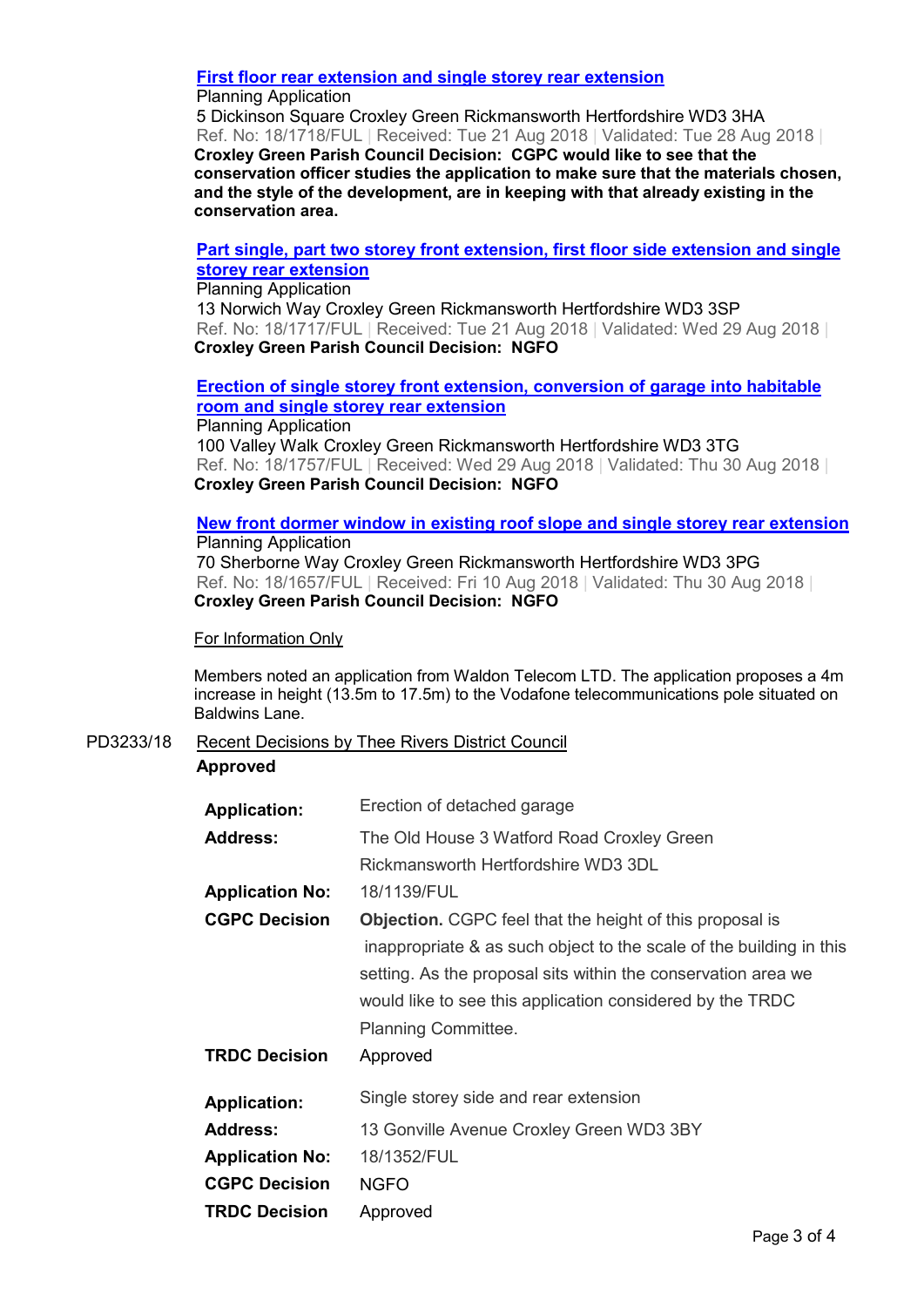## **First floor rear extension and single storey rear extension**

### Planning Application

5 Dickinson Square Croxley Green Rickmansworth Hertfordshire WD3 3HA Ref. No: 18/1718/FUL | Received: Tue 21 Aug 2018 | Validated: Tue 28 Aug 2018 | **Croxley Green Parish Council Decision: CGPC would like to see that the conservation officer studies the application to make sure that the materials chosen, and the style of the development, are in keeping with that already existing in the conservation area.** 

## **Part single, part two storey front extension, first floor side extension and single storey rear extension**

Planning Application

13 Norwich Way Croxley Green Rickmansworth Hertfordshire WD3 3SP Ref. No: 18/1717/FUL | Received: Tue 21 Aug 2018 | Validated: Wed 29 Aug 2018 | **Croxley Green Parish Council Decision: NGFO**

## **Erection of single storey front extension, conversion of garage into habitable room and single storey rear extension**

Planning Application 100 Valley Walk Croxley Green Rickmansworth Hertfordshire WD3 3TG Ref. No: 18/1757/FUL | Received: Wed 29 Aug 2018 | Validated: Thu 30 Aug 2018 | **Croxley Green Parish Council Decision: NGFO**

# **New front dormer window in existing roof slope and single storey rear extension** Planning Application

70 Sherborne Way Croxley Green Rickmansworth Hertfordshire WD3 3PG Ref. No: 18/1657/FUL | Received: Fri 10 Aug 2018 | Validated: Thu 30 Aug 2018 | **Croxley Green Parish Council Decision: NGFO** 

## For Information Only

Members noted an application from Waldon Telecom LTD. The application proposes a 4m increase in height (13.5m to 17.5m) to the Vodafone telecommunications pole situated on Baldwins Lane.

PD3233/18 Recent Decisions by Thee Rivers District Council **Approved** 

| <b>Application:</b>    | Erection of detached garage                                         |
|------------------------|---------------------------------------------------------------------|
| <b>Address:</b>        | The Old House 3 Watford Road Croxley Green                          |
|                        | Rickmansworth Hertfordshire WD3 3DL                                 |
| <b>Application No:</b> | 18/1139/FUL                                                         |
| <b>CGPC Decision</b>   | <b>Objection.</b> CGPC feel that the height of this proposal is     |
|                        | inappropriate & as such object to the scale of the building in this |
|                        | setting. As the proposal sits within the conservation area we       |
|                        | would like to see this application considered by the TRDC           |
|                        | Planning Committee.                                                 |
| <b>TRDC Decision</b>   | Approved                                                            |
| <b>Application:</b>    | Single storey side and rear extension                               |
| <b>Address:</b>        | 13 Gonville Avenue Croxley Green WD3 3BY                            |
| <b>Application No:</b> | 18/1352/FUL                                                         |
| <b>CGPC Decision</b>   | <b>NGFO</b>                                                         |
| <b>TRDC Decision</b>   | Approved                                                            |